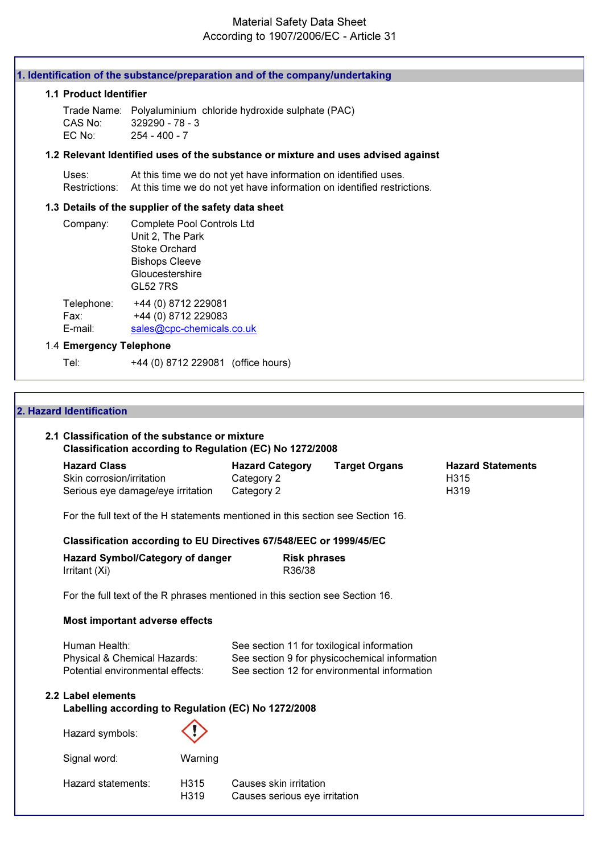## Material Safety Data Sheet According to 1907/2006/EC - Article 31

| 1. Identification of the substance/preparation and of the company/undertaking |                                                                                   |                                                                                                         |                                            |                                                                                                                                             |                     |                      |                                  |  |
|-------------------------------------------------------------------------------|-----------------------------------------------------------------------------------|---------------------------------------------------------------------------------------------------------|--------------------------------------------|---------------------------------------------------------------------------------------------------------------------------------------------|---------------------|----------------------|----------------------------------|--|
|                                                                               | 1.1 Product Identifier                                                            |                                                                                                         |                                            |                                                                                                                                             |                     |                      |                                  |  |
|                                                                               | CAS No:<br>EC No:                                                                 | 329290 - 78 - 3<br>$254 - 400 - 7$                                                                      |                                            | Trade Name: Polyaluminium chloride hydroxide sulphate (PAC)                                                                                 |                     |                      |                                  |  |
|                                                                               |                                                                                   |                                                                                                         |                                            | 1.2 Relevant Identified uses of the substance or mixture and uses advised against                                                           |                     |                      |                                  |  |
|                                                                               | Uses:<br>Restrictions:                                                            |                                                                                                         |                                            | At this time we do not yet have information on identified uses.<br>At this time we do not yet have information on identified restrictions.  |                     |                      |                                  |  |
|                                                                               | 1.3 Details of the supplier of the safety data sheet                              |                                                                                                         |                                            |                                                                                                                                             |                     |                      |                                  |  |
|                                                                               | Company:                                                                          | Unit 2, The Park<br><b>Stoke Orchard</b><br><b>Bishops Cleeve</b><br>Gloucestershire<br><b>GL52 7RS</b> | Complete Pool Controls Ltd                 |                                                                                                                                             |                     |                      |                                  |  |
|                                                                               | Telephone:<br>Fax:<br>E-mail:                                                     |                                                                                                         | +44 (0) 8712 229081<br>+44 (0) 8712 229083 |                                                                                                                                             |                     |                      |                                  |  |
|                                                                               | 1.4 Emergency Telephone                                                           |                                                                                                         | sales@cpc-chemicals.co.uk                  |                                                                                                                                             |                     |                      |                                  |  |
|                                                                               | Tel:                                                                              |                                                                                                         |                                            | +44 (0) 8712 229081 (office hours)                                                                                                          |                     |                      |                                  |  |
|                                                                               |                                                                                   |                                                                                                         |                                            |                                                                                                                                             |                     |                      |                                  |  |
|                                                                               | 2. Hazard Identification<br>2.1 Classification of the substance or mixture        |                                                                                                         |                                            |                                                                                                                                             |                     |                      |                                  |  |
|                                                                               | <b>Hazard Class</b><br>Skin corrosion/irritation                                  |                                                                                                         |                                            | Classification according to Regulation (EC) No 1272/2008<br><b>Hazard Category</b><br>Category 2                                            |                     | <b>Target Organs</b> | <b>Hazard Statements</b><br>H315 |  |
|                                                                               | Serious eye damage/eye irritation                                                 |                                                                                                         |                                            | Category 2                                                                                                                                  |                     |                      | H319                             |  |
|                                                                               |                                                                                   |                                                                                                         |                                            | For the full text of the H statements mentioned in this section see Section 16.                                                             |                     |                      |                                  |  |
|                                                                               |                                                                                   |                                                                                                         |                                            | Classification according to EU Directives 67/548/EEC or 1999/45/EC                                                                          |                     |                      |                                  |  |
|                                                                               | Hazard Symbol/Category of danger                                                  |                                                                                                         |                                            |                                                                                                                                             | <b>Risk phrases</b> |                      |                                  |  |
|                                                                               | Irritant (Xi)                                                                     |                                                                                                         |                                            | R36/38                                                                                                                                      |                     |                      |                                  |  |
|                                                                               |                                                                                   |                                                                                                         |                                            | For the full text of the R phrases mentioned in this section see Section 16.                                                                |                     |                      |                                  |  |
|                                                                               | Most important adverse effects                                                    |                                                                                                         |                                            |                                                                                                                                             |                     |                      |                                  |  |
|                                                                               | Human Health:<br>Physical & Chemical Hazards:<br>Potential environmental effects: |                                                                                                         |                                            | See section 11 for toxilogical information<br>See section 9 for physicochemical information<br>See section 12 for environmental information |                     |                      |                                  |  |
|                                                                               | 2.2 Label elements                                                                |                                                                                                         |                                            | Labelling according to Regulation (EC) No 1272/2008                                                                                         |                     |                      |                                  |  |
|                                                                               | Hazard symbols:                                                                   |                                                                                                         |                                            |                                                                                                                                             |                     |                      |                                  |  |
|                                                                               | Signal word:                                                                      |                                                                                                         | Warning                                    |                                                                                                                                             |                     |                      |                                  |  |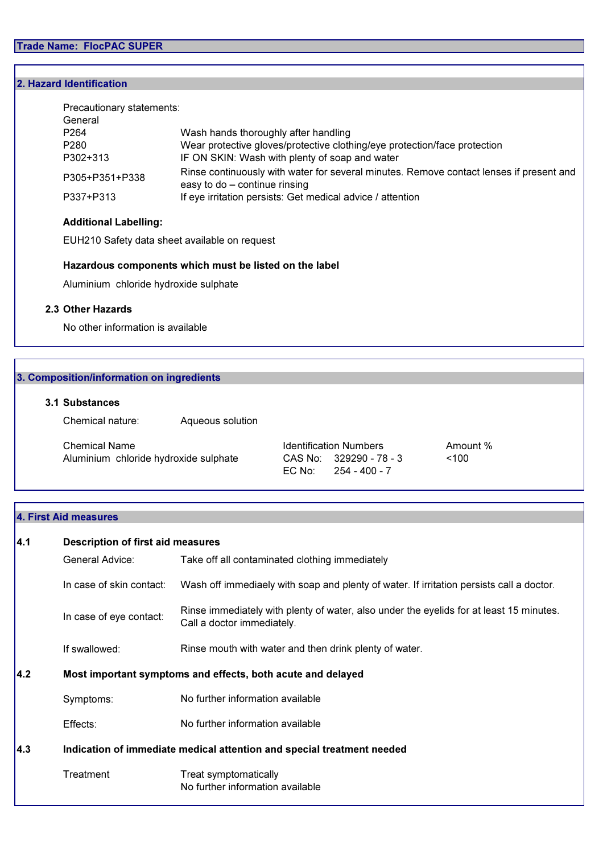## 2. Hazard Identification

| Precautionary statements:<br>General |                                                                                                                          |
|--------------------------------------|--------------------------------------------------------------------------------------------------------------------------|
| P <sub>264</sub>                     | Wash hands thoroughly after handling                                                                                     |
| P <sub>280</sub>                     | Wear protective gloves/protective clothing/eye protection/face protection                                                |
| P302+313                             | IF ON SKIN: Wash with plenty of soap and water                                                                           |
| P305+P351+P338                       | Rinse continuously with water for several minutes. Remove contact lenses if present and<br>easy to do - continue rinsing |
| P337+P313                            | If eye irritation persists: Get medical advice / attention                                                               |

Amount %

### Additional Labelling:

EUH210 Safety data sheet available on request

### Hazardous components which must be listed on the label

Aluminium chloride hydroxide sulphate

## 2.3 Other Hazards

No other information is available

## 3. Composition/information on ingredients

### 3.1 Substances

Chemical nature: Aqueous solution

| <b>Chemical Name</b>                  | <b>Identification Numbers</b> | Amor |
|---------------------------------------|-------------------------------|------|
| Aluminium chloride hydroxide sulphate | CAS No: 329290 - 78 - 3       | ~100 |
|                                       | EC No: $254 - 400 - 7$        |      |

## 4. First Aid measures

| 4.1 | <b>Description of first aid measures</b>                               |                                                                                                                       |  |  |
|-----|------------------------------------------------------------------------|-----------------------------------------------------------------------------------------------------------------------|--|--|
|     | Take off all contaminated clothing immediately<br>General Advice:      |                                                                                                                       |  |  |
|     | In case of skin contact:                                               | Wash off immediaely with soap and plenty of water. If irritation persists call a doctor.                              |  |  |
|     | In case of eye contact:                                                | Rinse immediately with plenty of water, also under the eyelids for at least 15 minutes.<br>Call a doctor immediately. |  |  |
|     | If swallowed:                                                          | Rinse mouth with water and then drink plenty of water.                                                                |  |  |
| 4.2 | Most important symptoms and effects, both acute and delayed            |                                                                                                                       |  |  |
|     | Symptoms:                                                              | No further information available                                                                                      |  |  |
|     | Effects:                                                               | No further information available                                                                                      |  |  |
| 4.3 | Indication of immediate medical attention and special treatment needed |                                                                                                                       |  |  |
|     | Treatment                                                              | Treat symptomatically<br>No further information available                                                             |  |  |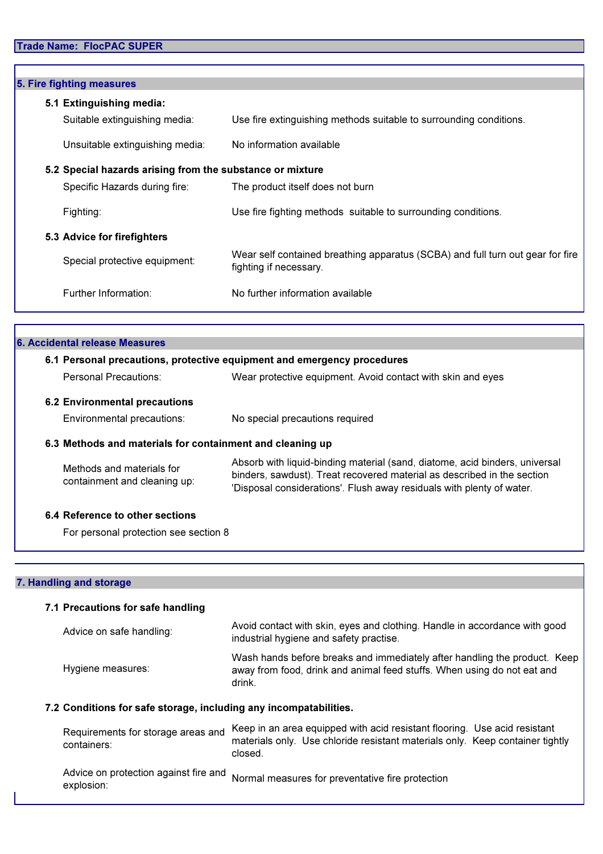# Trade Name: FlocPAC SUPER

| 5. Fire fighting measures                                 |                                                                                                          |
|-----------------------------------------------------------|----------------------------------------------------------------------------------------------------------|
| 5.1 Extinguishing media:                                  |                                                                                                          |
| Suitable extinguishing media:                             | Use fire extinguishing methods suitable to surrounding conditions.                                       |
| Unsuitable extinguishing media:                           | No information available                                                                                 |
| 5.2 Special hazards arising from the substance or mixture |                                                                                                          |
| Specific Hazards during fire:                             | The product itself does not burn                                                                         |
| Fighting:                                                 | Use fire fighting methods suitable to surrounding conditions.                                            |
| 5.3 Advice for firefighters                               |                                                                                                          |
| Special protective equipment:                             | Wear self contained breathing apparatus (SCBA) and full turn out gear for fire<br>fighting if necessary. |
| Further Information:                                      | No further information available                                                                         |

| 6. Accidental release Measures                            |                                                                                                                                                                                                                                 |
|-----------------------------------------------------------|---------------------------------------------------------------------------------------------------------------------------------------------------------------------------------------------------------------------------------|
|                                                           | 6.1 Personal precautions, protective equipment and emergency procedures                                                                                                                                                         |
| Personal Precautions:                                     | Wear protective equipment. Avoid contact with skin and eyes                                                                                                                                                                     |
| <b>6.2 Environmental precautions</b>                      |                                                                                                                                                                                                                                 |
| Environmental precautions:                                | No special precautions required                                                                                                                                                                                                 |
| 6.3 Methods and materials for containment and cleaning up |                                                                                                                                                                                                                                 |
| Methods and materials for<br>containment and cleaning up: | Absorb with liquid-binding material (sand, diatome, acid binders, universal<br>binders, sawdust). Treat recovered material as described in the section<br>'Disposal considerations'. Flush away residuals with plenty of water. |
| 6.4 Reference to other sections                           |                                                                                                                                                                                                                                 |
| For personal protection see section 8                     |                                                                                                                                                                                                                                 |

### 7. Handling and storage

|                                                                   | 7.1 Precautions for safe handling                 |                                                                                                                                                                |  |  |  |
|-------------------------------------------------------------------|---------------------------------------------------|----------------------------------------------------------------------------------------------------------------------------------------------------------------|--|--|--|
|                                                                   | Advice on safe handling:                          | Avoid contact with skin, eyes and clothing. Handle in accordance with good<br>industrial hygiene and safety practise.                                          |  |  |  |
|                                                                   | Hygiene measures:                                 | Wash hands before breaks and immediately after handling the product. Keep<br>away from food, drink and animal feed stuffs. When using do not eat and<br>drink. |  |  |  |
| 7.2 Conditions for safe storage, including any incompatabilities. |                                                   |                                                                                                                                                                |  |  |  |
|                                                                   | Requirements for storage areas and<br>containers: | Keep in an area equipped with acid resistant flooring. Use acid resistant<br>materials only. Use chloride resistant materials only. Keep container tightly     |  |  |  |

Advice on protection against fire and<br>explosion: Normal measures for preventative fire protection

closed.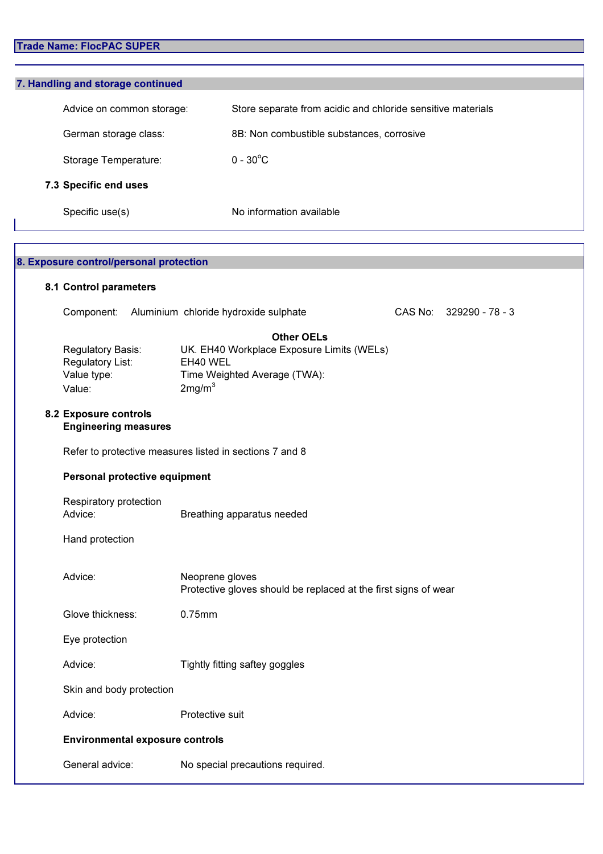# Trade Name: FlocPAC SUPER

| 7. Handling and storage continued |                                                             |
|-----------------------------------|-------------------------------------------------------------|
| Advice on common storage:         | Store separate from acidic and chloride sensitive materials |
| German storage class:             | 8B: Non combustible substances, corrosive                   |
| Storage Temperature:              | $0 - 30^{\circ}$ C                                          |
| 7.3 Specific end uses             |                                                             |
| Specific use(s)                   | No information available                                    |

| 8. Exposure control/personal protection |                                                                |                                                                                                                                  |                         |  |
|-----------------------------------------|----------------------------------------------------------------|----------------------------------------------------------------------------------------------------------------------------------|-------------------------|--|
|                                         | 8.1 Control parameters                                         |                                                                                                                                  |                         |  |
|                                         | Component:                                                     | Aluminium chloride hydroxide sulphate                                                                                            | CAS No: 329290 - 78 - 3 |  |
|                                         | Regulatory Basis:<br>Regulatory List:<br>Value type:<br>Value: | <b>Other OELs</b><br>UK. EH40 Workplace Exposure Limits (WELs)<br>EH40 WEL<br>Time Weighted Average (TWA):<br>2mg/m <sup>3</sup> |                         |  |
|                                         | 8.2 Exposure controls<br><b>Engineering measures</b>           |                                                                                                                                  |                         |  |
|                                         |                                                                | Refer to protective measures listed in sections 7 and 8                                                                          |                         |  |
|                                         | Personal protective equipment                                  |                                                                                                                                  |                         |  |
|                                         | Respiratory protection<br>Advice:                              | Breathing apparatus needed                                                                                                       |                         |  |
|                                         | Hand protection                                                |                                                                                                                                  |                         |  |
|                                         | Advice:                                                        | Neoprene gloves<br>Protective gloves should be replaced at the first signs of wear                                               |                         |  |
|                                         | Glove thickness:                                               | 0.75mm                                                                                                                           |                         |  |
|                                         | Eye protection                                                 |                                                                                                                                  |                         |  |
|                                         | Advice:                                                        | Tightly fitting saftey goggles                                                                                                   |                         |  |
|                                         | Skin and body protection                                       |                                                                                                                                  |                         |  |
|                                         | Advice:                                                        | Protective suit                                                                                                                  |                         |  |
|                                         | <b>Environmental exposure controls</b>                         |                                                                                                                                  |                         |  |
|                                         | General advice:                                                | No special precautions required.                                                                                                 |                         |  |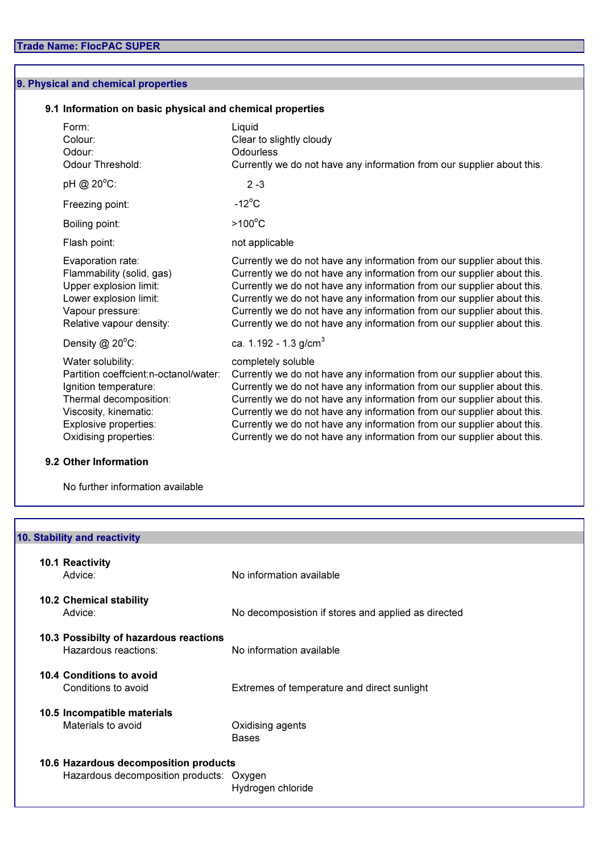## 9. Physical and chemical properties

## 9.1 Information on basic physical and chemical properties

| Form:<br>Colour:<br>Odour:<br>Odour Threshold:                                                                                                                                            | Liquid<br>Clear to slightly cloudy<br><b>Odourless</b><br>Currently we do not have any information from our supplier about this.                                                                                                                                                                                                                                                                                                                                               |
|-------------------------------------------------------------------------------------------------------------------------------------------------------------------------------------------|--------------------------------------------------------------------------------------------------------------------------------------------------------------------------------------------------------------------------------------------------------------------------------------------------------------------------------------------------------------------------------------------------------------------------------------------------------------------------------|
| pH @ 20°C:                                                                                                                                                                                | $2 - 3$                                                                                                                                                                                                                                                                                                                                                                                                                                                                        |
| Freezing point:                                                                                                                                                                           | $-12^{\circ}$ C                                                                                                                                                                                                                                                                                                                                                                                                                                                                |
| Boiling point:                                                                                                                                                                            | $>100^{\circ}$ C                                                                                                                                                                                                                                                                                                                                                                                                                                                               |
| Flash point:                                                                                                                                                                              | not applicable                                                                                                                                                                                                                                                                                                                                                                                                                                                                 |
| Evaporation rate:<br>Flammability (solid, gas)<br>Upper explosion limit:<br>Lower explosion limit:<br>Vapour pressure:<br>Relative vapour density:                                        | Currently we do not have any information from our supplier about this.<br>Currently we do not have any information from our supplier about this.<br>Currently we do not have any information from our supplier about this.<br>Currently we do not have any information from our supplier about this.<br>Currently we do not have any information from our supplier about this.<br>Currently we do not have any information from our supplier about this.                       |
| Density $@$ 20 $°C$ :                                                                                                                                                                     | ca. $1.192 - 1.3$ g/cm <sup>3</sup>                                                                                                                                                                                                                                                                                                                                                                                                                                            |
| Water solubility:<br>Partition coeffcient: n-octanol/water:<br>Ignition temperature:<br>Thermal decomposition:<br>Viscosity, kinematic:<br>Explosive properties:<br>Oxidising properties: | completely soluble<br>Currently we do not have any information from our supplier about this.<br>Currently we do not have any information from our supplier about this.<br>Currently we do not have any information from our supplier about this.<br>Currently we do not have any information from our supplier about this.<br>Currently we do not have any information from our supplier about this.<br>Currently we do not have any information from our supplier about this. |

# 9.2 Other Information

No further information available

| 10. Stability and reactivity             |                                                     |
|------------------------------------------|-----------------------------------------------------|
|                                          |                                                     |
| 10.1 Reactivity                          |                                                     |
| Advice:                                  | No information available                            |
|                                          |                                                     |
| <b>10.2 Chemical stability</b>           |                                                     |
| Advice:                                  | No decomposistion if stores and applied as directed |
|                                          |                                                     |
| 10.3 Possibilty of hazardous reactions   |                                                     |
| Hazardous reactions:                     | No information available                            |
| 10.4 Conditions to avoid                 |                                                     |
| Conditions to avoid                      | Extremes of temperature and direct sunlight         |
|                                          |                                                     |
| 10.5 Incompatible materials              |                                                     |
| Materials to avoid                       | Oxidising agents                                    |
|                                          | <b>Bases</b>                                        |
|                                          |                                                     |
| 10.6 Hazardous decomposition products    |                                                     |
| Hazardous decomposition products: Oxygen |                                                     |
|                                          | Hydrogen chloride                                   |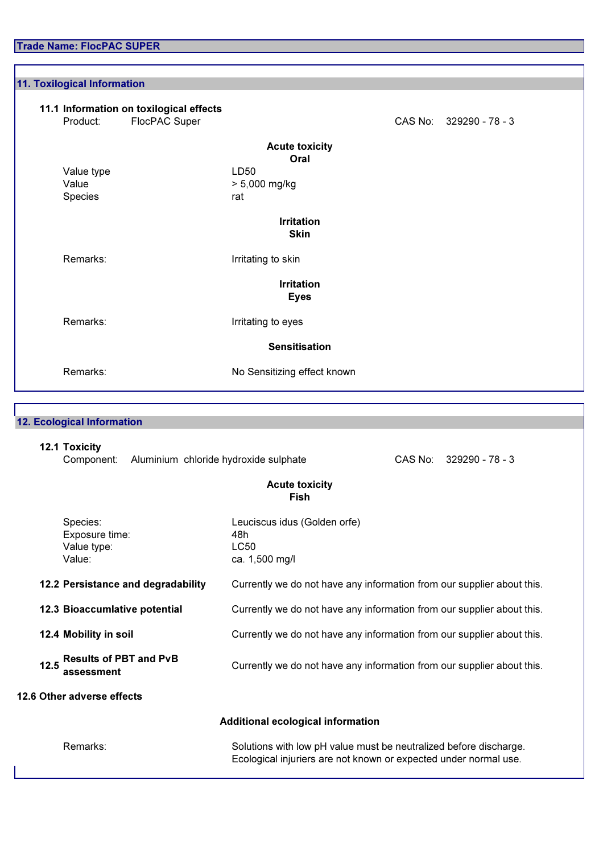Trade Name: FlocPAC SUPER

11.1 Information on toxilogical effects<br>Product: FlocPAC Super Product: FlocPAC Super CAS No: 329290 - 78 - 3 Value type LD50<br>Value 2008 2012 2023  $> 5,000$  mg/kg Species rat Remarks: **IFF** Irritating to skin Remarks: **IFF** Irritating to eyes Remarks: No Sensitizing effect known Acute toxicity Oral Irritation Skin 11. Toxilogical Information Irritation Eyes Sensitisation

## 12. Ecological Information

### 12.1 Toxicity

Component: Aluminium chloride hydroxide sulphate CAS No: 329290 - 78 - 3

### Acute toxicity **Fish**

| Species:<br>Exposure time:<br>Value type:<br>Value: | Leuciscus idus (Golden orfe)<br>48h<br>LC50<br>ca. 1,500 mg/l          |
|-----------------------------------------------------|------------------------------------------------------------------------|
| 12.2 Persistance and degradability                  | Currently we do not have any information from our supplier about this. |
| 12.3 Bioaccumlative potential                       | Currently we do not have any information from our supplier about this. |
| 12.4 Mobility in soil                               | Currently we do not have any information from our supplier about this. |
| <b>Results of PBT and PvB</b><br>12.5<br>assessment | Currently we do not have any information from our supplier about this. |
| 12.6 Other adverse effects                          |                                                                        |
|                                                     | Additional ecological information                                      |

Remarks: Solutions with low pH value must be neutralized before discharge. Ecological injuriers are not known or expected under normal use.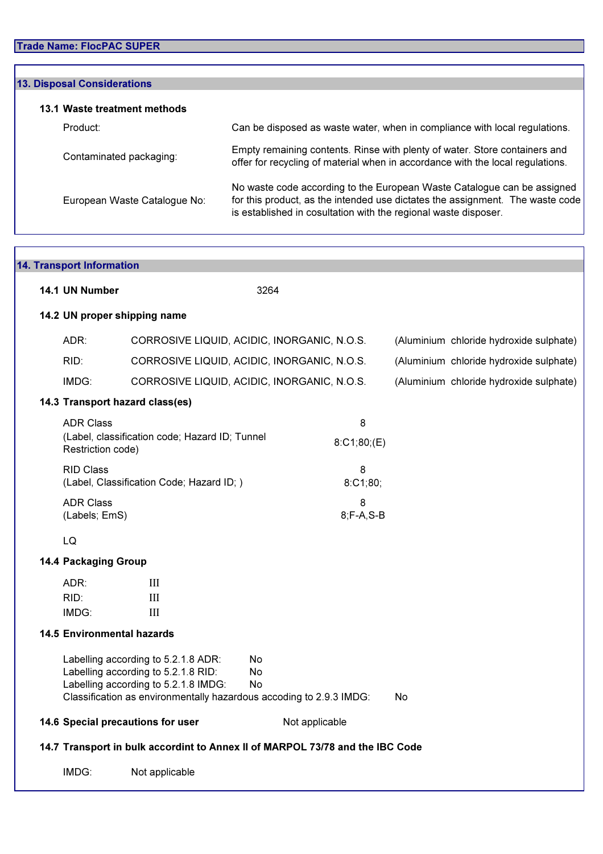| <b>13. Disposal Considerations</b> |                                                                                                                                                                                                                             |
|------------------------------------|-----------------------------------------------------------------------------------------------------------------------------------------------------------------------------------------------------------------------------|
| 13.1 Waste treatment methods       |                                                                                                                                                                                                                             |
| Product:                           | Can be disposed as waste water, when in compliance with local regulations.                                                                                                                                                  |
| Contaminated packaging:            | Empty remaining contents. Rinse with plenty of water. Store containers and<br>offer for recycling of material when in accordance with the local regulations.                                                                |
| European Waste Catalogue No:       | No waste code according to the European Waste Catalogue can be assigned<br>for this product, as the intended use dictates the assignment. The waste code<br>is established in cosultation with the regional waste disposer. |

| <b>14. Transport Information</b>      |                                                                                                                                                                                                                                |                    |    |                                         |
|---------------------------------------|--------------------------------------------------------------------------------------------------------------------------------------------------------------------------------------------------------------------------------|--------------------|----|-----------------------------------------|
| 14.1 UN Number                        |                                                                                                                                                                                                                                | 3264               |    |                                         |
| 14.2 UN proper shipping name          |                                                                                                                                                                                                                                |                    |    |                                         |
| ADR:                                  | CORROSIVE LIQUID, ACIDIC, INORGANIC, N.O.S.                                                                                                                                                                                    |                    |    | (Aluminium chloride hydroxide sulphate) |
| RID:                                  | CORROSIVE LIQUID, ACIDIC, INORGANIC, N.O.S.                                                                                                                                                                                    |                    |    | (Aluminium chloride hydroxide sulphate) |
| IMDG:                                 | CORROSIVE LIQUID, ACIDIC, INORGANIC, N.O.S.                                                                                                                                                                                    |                    |    | (Aluminium chloride hydroxide sulphate) |
|                                       | 14.3 Transport hazard class(es)                                                                                                                                                                                                |                    |    |                                         |
| <b>ADR Class</b><br>Restriction code) | (Label, classification code; Hazard ID; Tunnel                                                                                                                                                                                 | 8<br>8:C1;80; (E)  |    |                                         |
| <b>RID Class</b>                      | (Label, Classification Code; Hazard ID; )                                                                                                                                                                                      | 8<br>8:C1;80;      |    |                                         |
| <b>ADR Class</b><br>(Labels; EmS)     |                                                                                                                                                                                                                                | 8<br>$8; F-A, S-B$ |    |                                         |
| LQ                                    |                                                                                                                                                                                                                                |                    |    |                                         |
| <b>14.4 Packaging Group</b>           |                                                                                                                                                                                                                                |                    |    |                                         |
| ADR:<br>RID:<br>IMDG:                 | $\mathop{\mathrm{III}}\nolimits$<br>$\mathbf{I}$<br>III                                                                                                                                                                        |                    |    |                                         |
| <b>14.5 Environmental hazards</b>     |                                                                                                                                                                                                                                |                    |    |                                         |
|                                       | Labelling according to 5.2.1.8 ADR:<br>N <sub>o</sub><br>Labelling according to 5.2.1.8 RID:<br><b>No</b><br>Labelling according to 5.2.1.8 IMDG:<br>No<br>Classification as environmentally hazardous accoding to 2.9.3 IMDG: |                    | No |                                         |
|                                       | 14.6 Special precautions for user                                                                                                                                                                                              | Not applicable     |    |                                         |
|                                       | 14.7 Transport in bulk accordint to Annex II of MARPOL 73/78 and the IBC Code                                                                                                                                                  |                    |    |                                         |
| IMDG:                                 | Not applicable                                                                                                                                                                                                                 |                    |    |                                         |